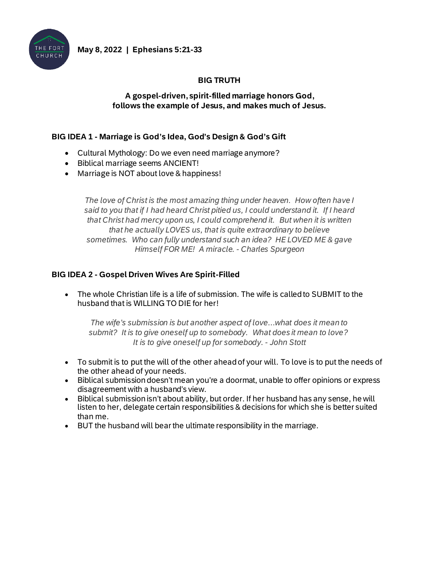

# **BIG TRUTH**

#### **A gospel-driven, spirit-filled marriage honors God, follows the example of Jesus, and makes much of Jesus.**

#### **BIG IDEA 1 - Marriage is God's Idea, God's Design & God's Gift**

- Cultural Mythology: Do we even need marriage anymore?
- Biblical marriage seems ANCIENT!
- Marriage is NOT about love & happiness!

*The love of Christ is the most amazing thing under heaven. How often have I said to you that if I had heard Christ pitied us, I could understand it. If I heard that Christ had mercy upon us, I could comprehend it. But when it is written that he actually LOVES us, that is quite extraordinary to believe sometimes. Who can fully understand such an idea? HE LOVED ME & gave Himself FOR ME! A miracle. - Charles Spurgeon*

## **BIG IDEA 2 - Gospel Driven Wives Are Spirit-Filled**

• The whole Christian life is a life of submission. The wife is called to SUBMIT to the husband that is WILLING TO DIE for her!

*The wife's submission is but another aspect of love…what does it mean to submit? It is to give oneself up to somebody. What does it mean to love? It is to give oneself up for somebody. - John Stott*

- To submit is to put the will of the other ahead of your will. To love is to put the needs of the other ahead of your needs.
- Biblical submission doesn't mean you're a doormat, unable to offer opinions or express disagreement with a husband's view.
- Biblical submission isn't about ability, but order. If her husband has any sense, he will listen to her, delegate certain responsibilities & decisions for which she is better suited than me.
- BUT the husband will bear the ultimate responsibility in the marriage.